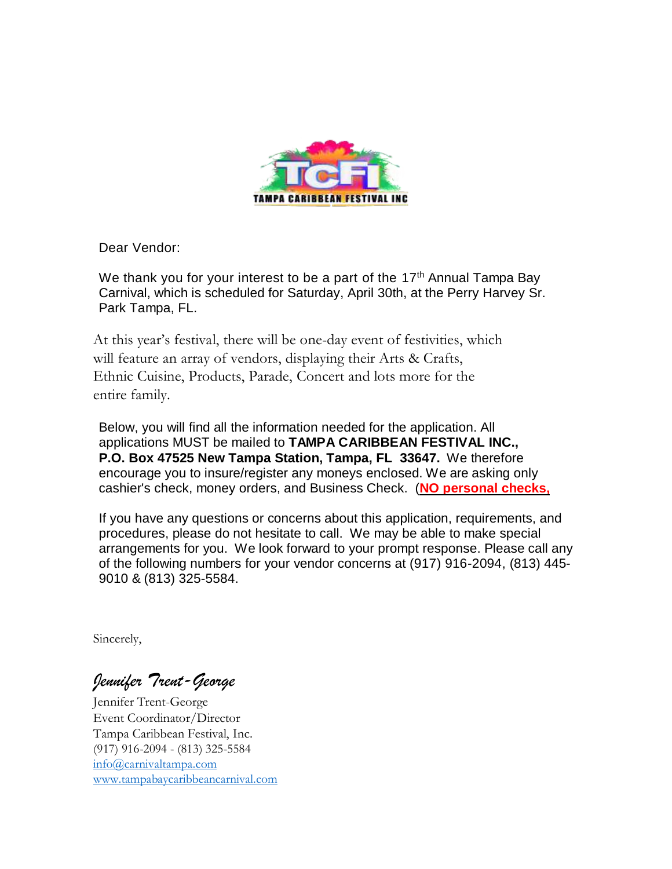

Dear Vendor:

We thank you for your interest to be a part of the 17<sup>th</sup> Annual Tampa Bay Carnival, which is scheduled for Saturday, April 30th, at the Perry Harvey Sr. Park Tampa, FL.

At this year's festival, there will be one-day event of festivities, which will feature an array of vendors, displaying their Arts & Crafts, Ethnic Cuisine, Products, Parade, Concert and lots more for the entire family.

Below, you will find all the information needed for the application. All applications MUST be mailed to **TAMPA CARIBBEAN FESTIVAL INC., P.O. Box 47525 New Tampa Station, Tampa, FL 33647.** We therefore encourage you to insure/register any moneys enclosed. We are asking only cashier's check, money orders, and Business Check. (**NO personal checks,**

If you have any questions or concerns about this application, requirements, and procedures, please do not hesitate to call. We may be able to make special arrangements for you. We look forward to your prompt response. Please call any of the following numbers for your vendor concerns at (917) 916-2094, (813) 445- 9010 & (813) 325-5584.

Sincerely,

*Jennifer Trent-George* 

Jennifer Trent-George Event Coordinator/Director Tampa Caribbean Festival, Inc. (917) 916-2094 - (813) 325-5584 [info@carnivaltampa.com](mailto:info@carnivaltampa.com) [www.tampabaycaribbeancarnival.com](http://www.tampabaycaribbeancarnival.com/)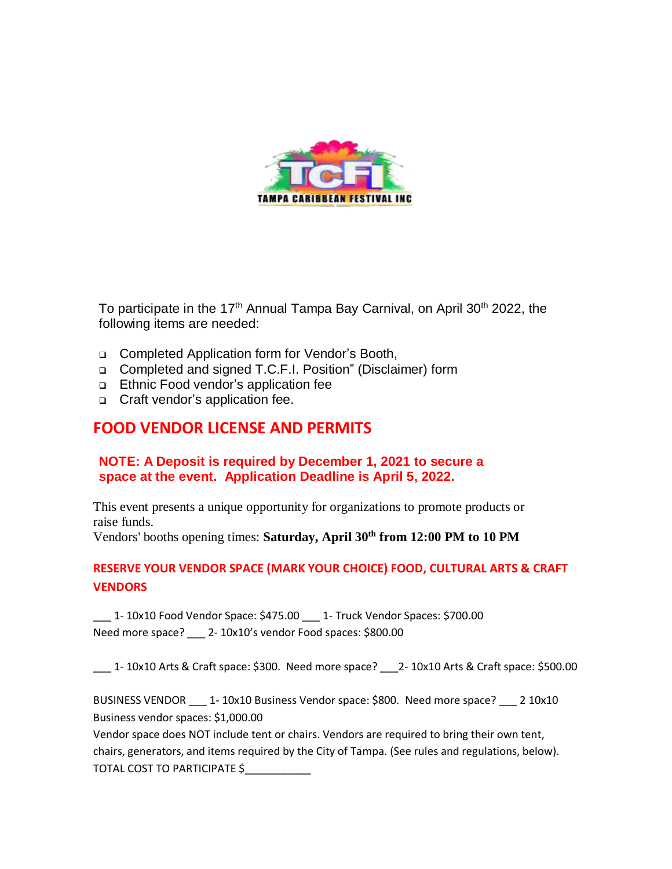

To participate in the 17<sup>th</sup> Annual Tampa Bay Carnival, on April 30<sup>th</sup> 2022, the following items are needed:

- Completed Application form for Vendor's Booth,
- Completed and signed T.C.F.I. Position" (Disclaimer) form
- Ethnic Food vendor's application fee
- □ Craft vendor's application fee.

## **FOOD VENDOR LICENSE AND PERMITS**

### **NOTE: A Deposit is required by December 1, 2021 to secure a space at the event. Application Deadline is April 5, 2022.**

This event presents a unique opportunity for organizations to promote products or raise funds.

Vendors' booths opening times: **Saturday, April 30th from 12:00 PM to 10 PM**

## **RESERVE YOUR VENDOR SPACE (MARK YOUR CHOICE) FOOD, CULTURAL ARTS & CRAFT VENDORS**

\_\_\_ 1- 10x10 Food Vendor Space: \$475.00 \_\_\_ 1- Truck Vendor Spaces: \$700.00 Need more space? \_\_\_ 2- 10x10's vendor Food spaces: \$800.00

\_\_\_ 1- 10x10 Arts & Craft space: \$300. Need more space? \_\_\_2- 10x10 Arts & Craft space: \$500.00

BUSINESS VENDOR \_\_\_ 1- 10x10 Business Vendor space: \$800. Need more space? \_\_\_ 2 10x10 Business vendor spaces: \$1,000.00

Vendor space does NOT include tent or chairs. Vendors are required to bring their own tent, chairs, generators, and items required by the City of Tampa. (See rules and regulations, below). TOTAL COST TO PARTICIPATE \$\_\_\_\_\_\_\_\_\_\_\_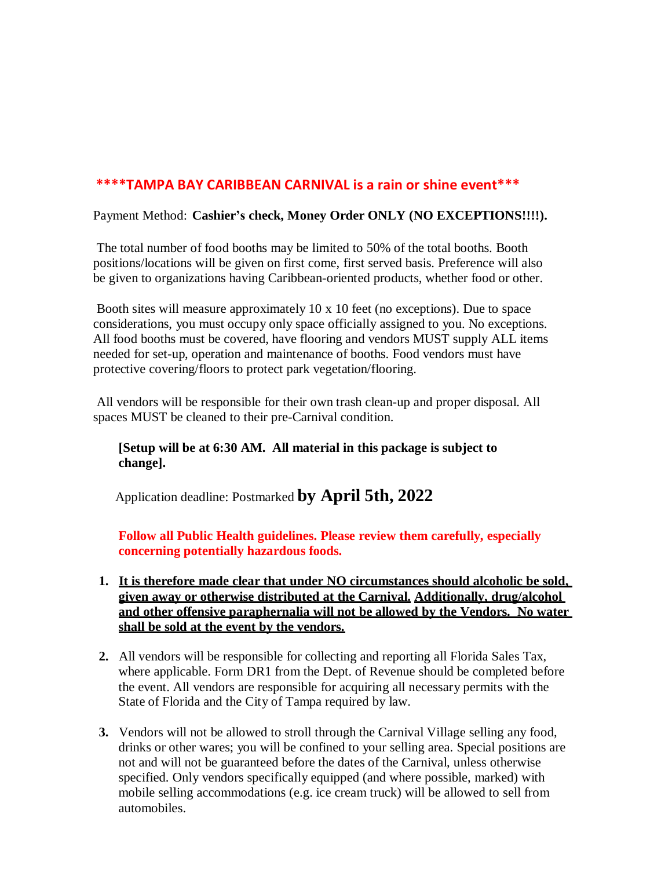## **\*\*\*\*TAMPA BAY CARIBBEAN CARNIVAL is a rain or shine event\*\*\***

#### Payment Method: **Cashier's check, Money Order ONLY (NO EXCEPTIONS!!!!).**

The total number of food booths may be limited to 50% of the total booths. Booth positions/locations will be given on first come, first served basis. Preference will also be given to organizations having Caribbean-oriented products, whether food or other.

Booth sites will measure approximately 10 x 10 feet (no exceptions). Due to space considerations, you must occupy only space officially assigned to you. No exceptions. All food booths must be covered, have flooring and vendors MUST supply ALL items needed for set-up, operation and maintenance of booths. Food vendors must have protective covering/floors to protect park vegetation/flooring.

All vendors will be responsible for their own trash clean-up and proper disposal. All spaces MUST be cleaned to their pre-Carnival condition.

**[Setup will be at 6:30 AM. All material in this package is subject to change].**

Application deadline: Postmarked **by April 5th, 2022**

**Follow all Public Health guidelines. Please review them carefully, especially concerning potentially hazardous foods.**

- **1. It is therefore made clear that under NO circumstances should alcoholic be sold, given away or otherwise distributed at the Carnival. Additionally, drug/alcohol and other offensive paraphernalia will not be allowed by the Vendors. No water shall be sold at the event by the vendors.**
- **2.** All vendors will be responsible for collecting and reporting all Florida Sales Tax, where applicable. Form DR1 from the Dept. of Revenue should be completed before the event. All vendors are responsible for acquiring all necessary permits with the State of Florida and the City of Tampa required by law.
- **3.** Vendors will not be allowed to stroll through the Carnival Village selling any food, drinks or other wares; you will be confined to your selling area. Special positions are not and will not be guaranteed before the dates of the Carnival, unless otherwise specified. Only vendors specifically equipped (and where possible, marked) with mobile selling accommodations (e.g. ice cream truck) will be allowed to sell from automobiles.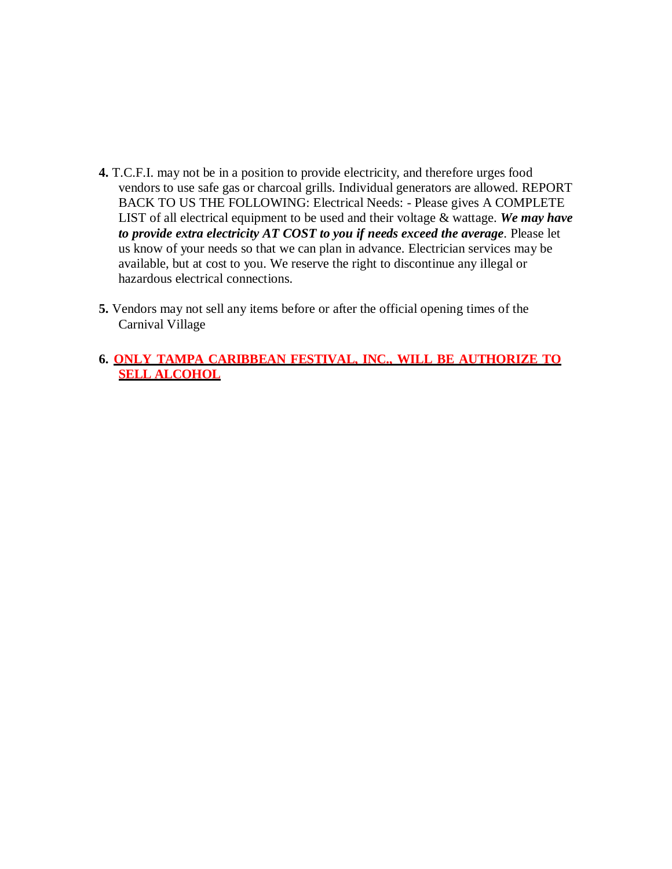- **4.** T.C.F.I. may not be in a position to provide electricity, and therefore urges food vendors to use safe gas or charcoal grills. Individual generators are allowed. REPORT BACK TO US THE FOLLOWING: Electrical Needs: - Please gives A COMPLETE LIST of all electrical equipment to be used and their voltage & wattage. *We may have to provide extra electricity AT COST to you if needs exceed the average*. Please let us know of your needs so that we can plan in advance. Electrician services may be available, but at cost to you. We reserve the right to discontinue any illegal or hazardous electrical connections.
- **5.** Vendors may not sell any items before or after the official opening times of the Carnival Village
- **6. ONLY TAMPA CARIBBEAN FESTIVAL, INC., WILL BE AUTHORIZE TO SELL ALCOHOL**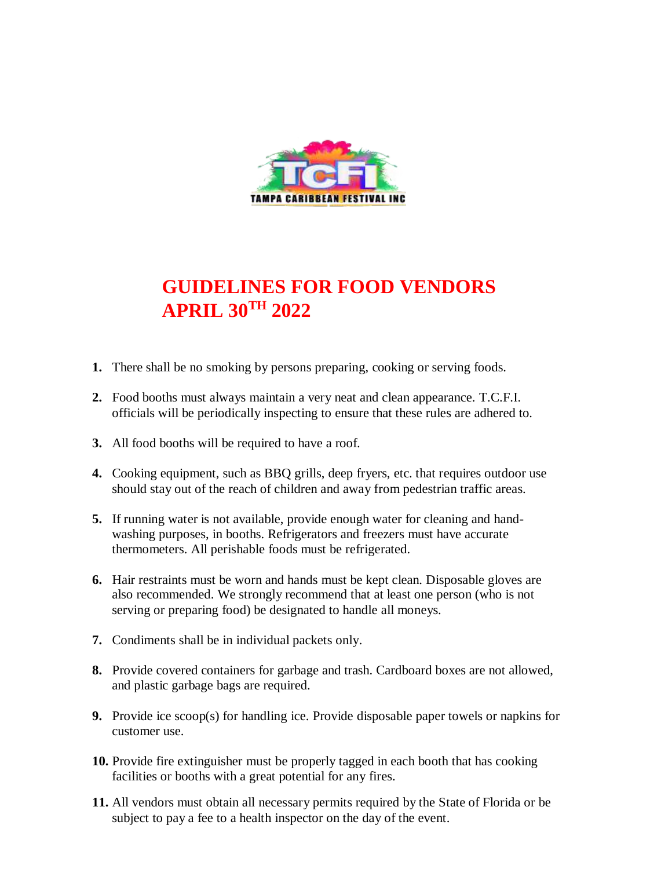

# **GUIDELINES FOR FOOD VENDORS APRIL 30TH 2022**

- **1.** There shall be no smoking by persons preparing, cooking or serving foods.
- **2.** Food booths must always maintain a very neat and clean appearance. T.C.F.I. officials will be periodically inspecting to ensure that these rules are adhered to.
- **3.** All food booths will be required to have a roof.
- **4.** Cooking equipment, such as BBQ grills, deep fryers, etc. that requires outdoor use should stay out of the reach of children and away from pedestrian traffic areas.
- **5.** If running water is not available, provide enough water for cleaning and handwashing purposes, in booths. Refrigerators and freezers must have accurate thermometers. All perishable foods must be refrigerated.
- **6.** Hair restraints must be worn and hands must be kept clean. Disposable gloves are also recommended. We strongly recommend that at least one person (who is not serving or preparing food) be designated to handle all moneys.
- **7.** Condiments shall be in individual packets only.
- **8.** Provide covered containers for garbage and trash. Cardboard boxes are not allowed, and plastic garbage bags are required.
- **9.** Provide ice scoop(s) for handling ice. Provide disposable paper towels or napkins for customer use.
- **10.** Provide fire extinguisher must be properly tagged in each booth that has cooking facilities or booths with a great potential for any fires.
- **11.** All vendors must obtain all necessary permits required by the State of Florida or be subject to pay a fee to a health inspector on the day of the event.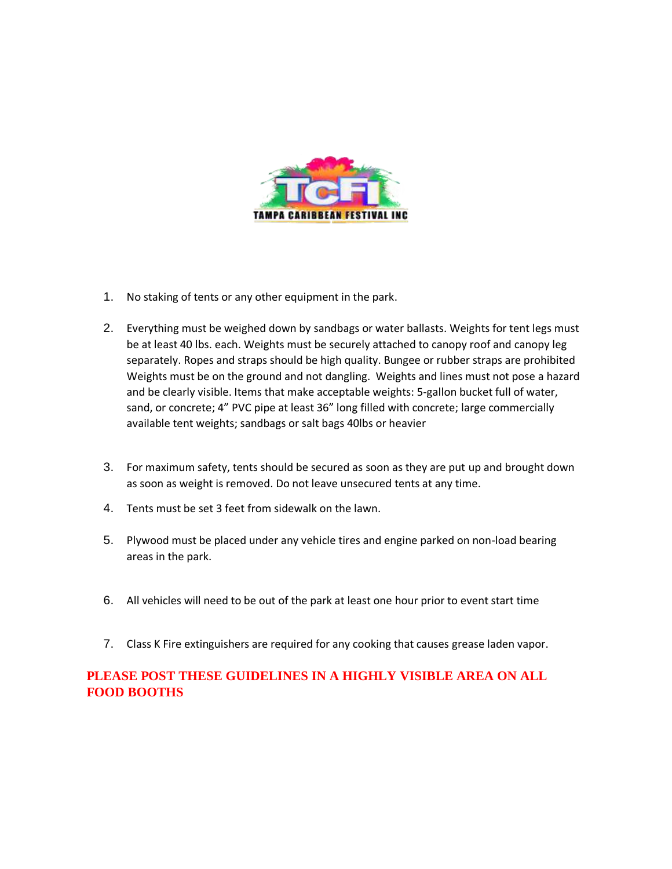

- 1. No staking of tents or any other equipment in the park.
- 2. Everything must be weighed down by sandbags or water ballasts. Weights for tent legs must be at least 40 lbs. each. Weights must be securely attached to canopy roof and canopy leg separately. Ropes and straps should be high quality. Bungee or rubber straps are prohibited Weights must be on the ground and not dangling. Weights and lines must not pose a hazard and be clearly visible. Items that make acceptable weights: 5-gallon bucket full of water, sand, or concrete; 4" PVC pipe at least 36" long filled with concrete; large commercially available tent weights; sandbags or salt bags 40lbs or heavier
- 3. For maximum safety, tents should be secured as soon as they are put up and brought down as soon as weight is removed. Do not leave unsecured tents at any time.
- 4. Tents must be set 3 feet from sidewalk on the lawn.
- 5. Plywood must be placed under any vehicle tires and engine parked on non-load bearing areas in the park.
- 6. All vehicles will need to be out of the park at least one hour prior to event start time
- 7. Class K Fire extinguishers are required for any cooking that causes grease laden vapor.

## **PLEASE POST THESE GUIDELINES IN A HIGHLY VISIBLE AREA ON ALL FOOD BOOTHS**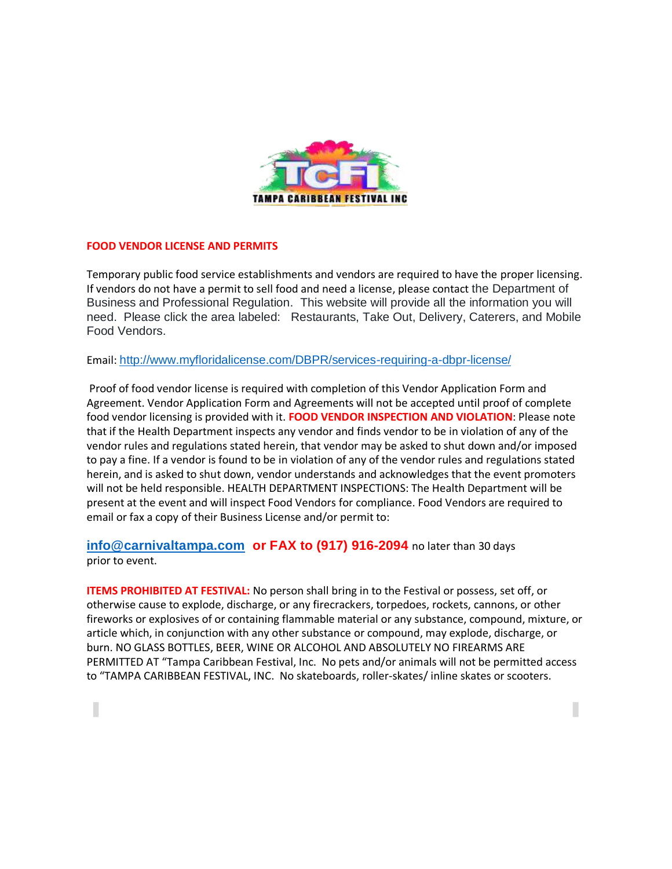

#### **FOOD VENDOR LICENSE AND PERMITS**

ı

Temporary public food service establishments and vendors are required to have the proper licensing. If vendors do not have a permit to sell food and need a license, please contact the Department of Business and Professional Regulation. This website will provide all the information you will need. Please click the area labeled: Restaurants, Take Out, Delivery, Caterers, and Mobile Food Vendors.

Email: <http://www.myfloridalicense.com/DBPR/services-requiring-a-dbpr-license/>

Proof of food vendor license is required with completion of this Vendor Application Form and Agreement. Vendor Application Form and Agreements will not be accepted until proof of complete food vendor licensing is provided with it. **FOOD VENDOR INSPECTION AND VIOLATION**: Please note that if the Health Department inspects any vendor and finds vendor to be in violation of any of the vendor rules and regulations stated herein, that vendor may be asked to shut down and/or imposed to pay a fine. If a vendor is found to be in violation of any of the vendor rules and regulations stated herein, and is asked to shut down, vendor understands and acknowledges that the event promoters will not be held responsible. HEALTH DEPARTMENT INSPECTIONS: The Health Department will be present at the event and will inspect Food Vendors for compliance. Food Vendors are required to email or fax a copy of their Business License and/or permit to:

**[info@carnivaltampa.com](mailto:info@carnivaltampa.com) or FAX to (917) 916-2094** no later than 30 days prior to event.

**ITEMS PROHIBITED AT FESTIVAL:** No person shall bring in to the Festival or possess, set off, or otherwise cause to explode, discharge, or any firecrackers, torpedoes, rockets, cannons, or other fireworks or explosives of or containing flammable material or any substance, compound, mixture, or article which, in conjunction with any other substance or compound, may explode, discharge, or burn. NO GLASS BOTTLES, BEER, WINE OR ALCOHOL AND ABSOLUTELY NO FIREARMS ARE PERMITTED AT "Tampa Caribbean Festival, Inc. No pets and/or animals will not be permitted access to "TAMPA CARIBBEAN FESTIVAL, INC. No skateboards, roller-skates/ inline skates or scooters.

Г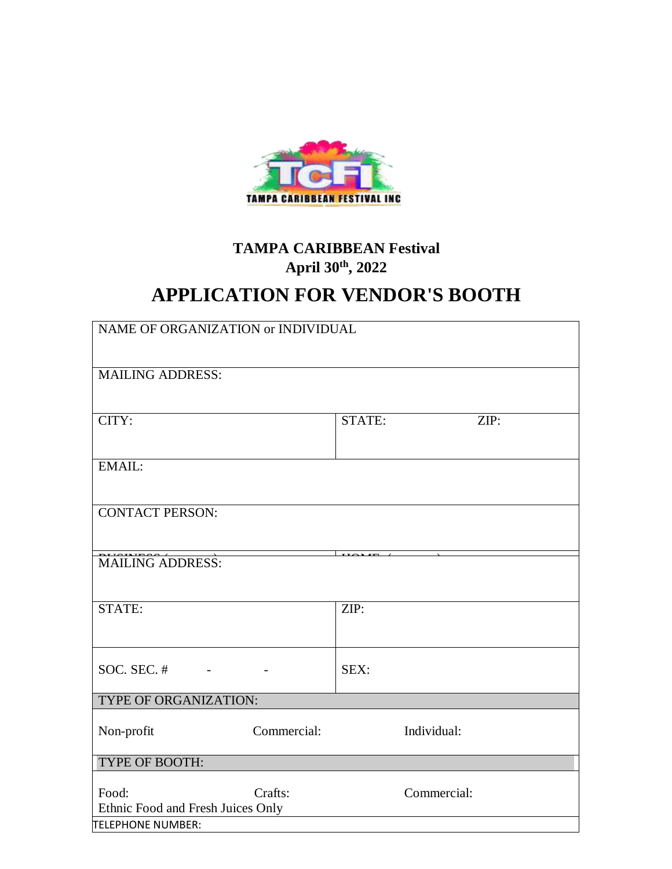

## **TAMPA CARIBBEAN Festival April 30th , 2022**

# **APPLICATION FOR VENDOR'S BOOTH**

| NAME OF ORGANIZATION or INDIVIDUAL         |             |                          |             |
|--------------------------------------------|-------------|--------------------------|-------------|
| <b>MAILING ADDRESS:</b>                    |             |                          |             |
| CITY:                                      |             | STATE:                   | ZIP:        |
| EMAIL:                                     |             |                          |             |
| <b>CONTACT PERSON:</b>                     |             |                          |             |
| <b>MAILING ADDRESS:</b>                    |             | $\overline{\phantom{a}}$ |             |
| STATE:                                     |             | ZIP:                     |             |
| SOC. SEC. $#$                              |             | SEX:                     |             |
| TYPE OF ORGANIZATION:                      |             |                          |             |
| Non-profit                                 | Commercial: |                          | Individual: |
| TYPE OF BOOTH:                             |             |                          |             |
| Food:<br>Ethnic Food and Fresh Juices Only | Crafts:     |                          | Commercial: |
| TELEPHONE NUMBER:                          |             |                          |             |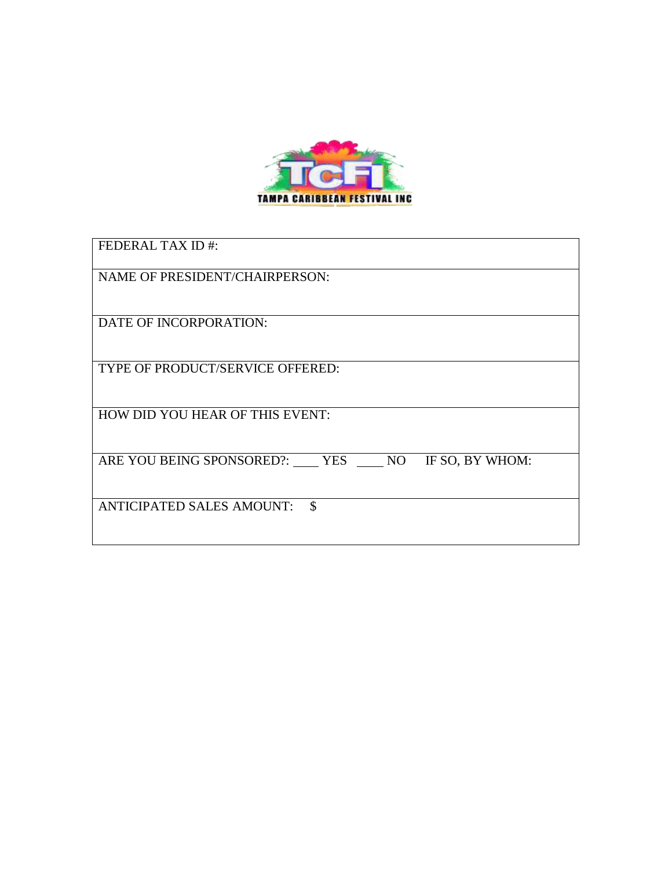

| <b>FEDERAL TAX ID#:</b>                             |
|-----------------------------------------------------|
| NAME OF PRESIDENT/CHAIRPERSON:                      |
| DATE OF INCORPORATION:                              |
| TYPE OF PRODUCT/SERVICE OFFERED:                    |
| HOW DID YOU HEAR OF THIS EVENT:                     |
| IF SO, BY WHOM:<br>ARE YOU BEING SPONSORED?: YES NO |
| <b>ANTICIPATED SALES AMOUNT:</b><br>\$              |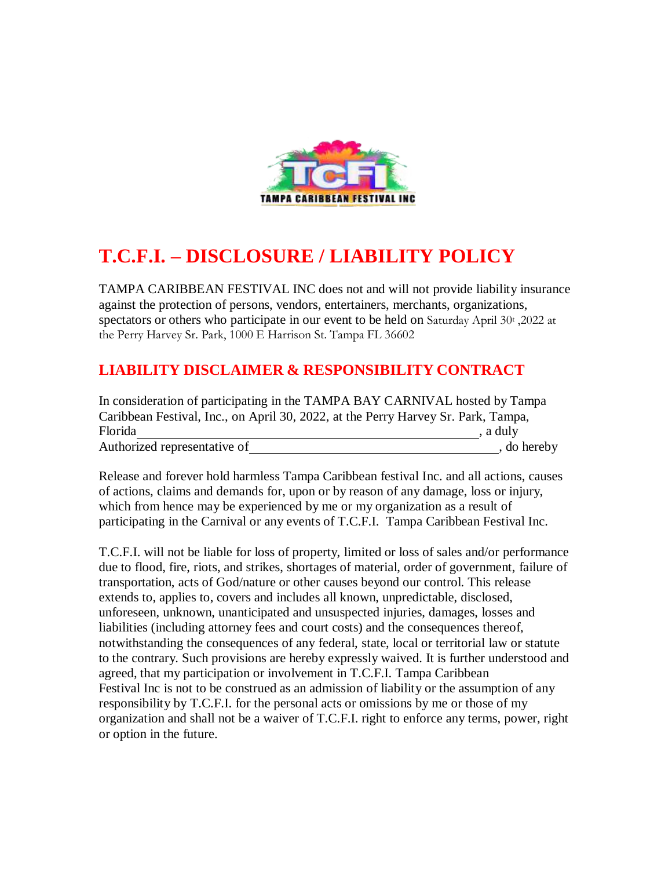

## **T.C.F.I. – DISCLOSURE / LIABILITY POLICY**

TAMPA CARIBBEAN FESTIVAL INC does not and will not provide liability insurance against the protection of persons, vendors, entertainers, merchants, organizations, spectators or others who participate in our event to be held on Saturday April 30t, 2022 at the Perry Harvey Sr. Park, 1000 E Harrison St. Tampa FL 36602

## **LIABILITY DISCLAIMER & RESPONSIBILITY CONTRACT**

| In consideration of participating in the TAMPA BAY CARNIVAL hosted by Tampa       |             |
|-----------------------------------------------------------------------------------|-------------|
| Caribbean Festival, Inc., on April 30, 2022, at the Perry Harvey Sr. Park, Tampa, |             |
| Florida                                                                           | , a duly    |
| Authorized representative of                                                      | , do hereby |

Release and forever hold harmless Tampa Caribbean festival Inc. and all actions, causes of actions, claims and demands for, upon or by reason of any damage, loss or injury, which from hence may be experienced by me or my organization as a result of participating in the Carnival or any events of T.C.F.I. Tampa Caribbean Festival Inc.

T.C.F.I. will not be liable for loss of property, limited or loss of sales and/or performance due to flood, fire, riots, and strikes, shortages of material, order of government, failure of transportation, acts of God/nature or other causes beyond our control. This release extends to, applies to, covers and includes all known, unpredictable, disclosed, unforeseen, unknown, unanticipated and unsuspected injuries, damages, losses and liabilities (including attorney fees and court costs) and the consequences thereof, notwithstanding the consequences of any federal, state, local or territorial law or statute to the contrary. Such provisions are hereby expressly waived. It is further understood and agreed, that my participation or involvement in T.C.F.I. Tampa Caribbean Festival Inc is not to be construed as an admission of liability or the assumption of any responsibility by T.C.F.I. for the personal acts or omissions by me or those of my organization and shall not be a waiver of T.C.F.I. right to enforce any terms, power, right or option in the future.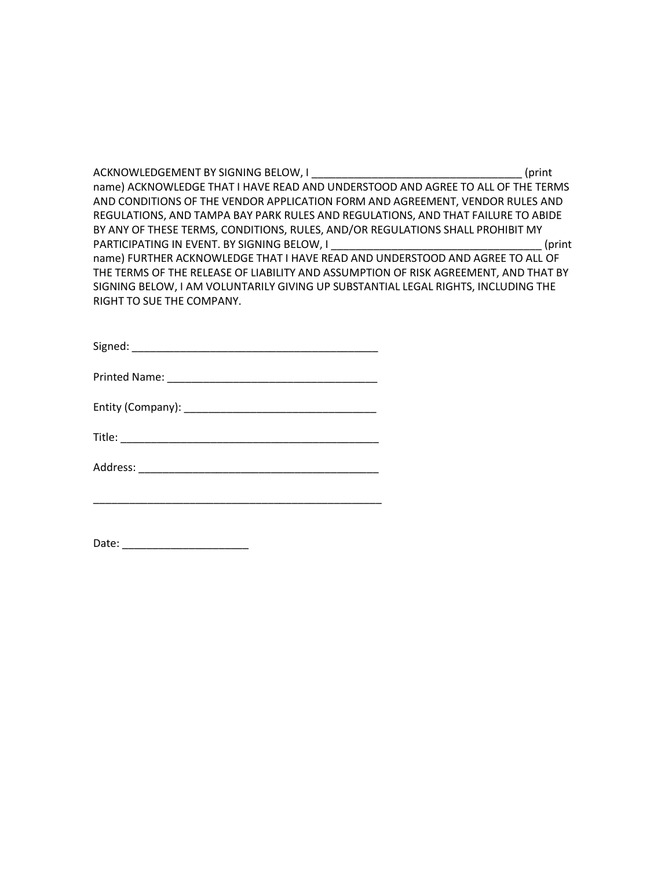ACKNOWLEDGEMENT BY SIGNING BELOW, I GENERAL METAL CONSERVATION (print name) ACKNOWLEDGE THAT I HAVE READ AND UNDERSTOOD AND AGREE TO ALL OF THE TERMS AND CONDITIONS OF THE VENDOR APPLICATION FORM AND AGREEMENT, VENDOR RULES AND REGULATIONS, AND TAMPA BAY PARK RULES AND REGULATIONS, AND THAT FAILURE TO ABIDE BY ANY OF THESE TERMS, CONDITIONS, RULES, AND/OR REGULATIONS SHALL PROHIBIT MY PARTICIPATING IN EVENT. BY SIGNING BELOW, I \_\_\_\_\_\_\_\_\_\_\_\_\_\_\_\_\_\_\_\_\_\_\_\_\_\_\_\_\_\_\_\_\_\_\_ (print name) FURTHER ACKNOWLEDGE THAT I HAVE READ AND UNDERSTOOD AND AGREE TO ALL OF THE TERMS OF THE RELEASE OF LIABILITY AND ASSUMPTION OF RISK AGREEMENT, AND THAT BY SIGNING BELOW, I AM VOLUNTARILY GIVING UP SUBSTANTIAL LEGAL RIGHTS, INCLUDING THE RIGHT TO SUE THE COMPANY.

| Signed: |  |
|---------|--|
|         |  |

| <b>Printed Name:</b> |  |
|----------------------|--|
|                      |  |

| Entity (Company): |  |
|-------------------|--|
|                   |  |

| Title: |
|--------|
|--------|

\_\_\_\_\_\_\_\_\_\_\_\_\_\_\_\_\_\_\_\_\_\_\_\_\_\_\_\_\_\_\_\_\_\_\_\_\_\_\_\_\_\_\_\_\_\_\_\_

Date: \_\_\_\_\_\_\_\_\_\_\_\_\_\_\_\_\_\_\_\_\_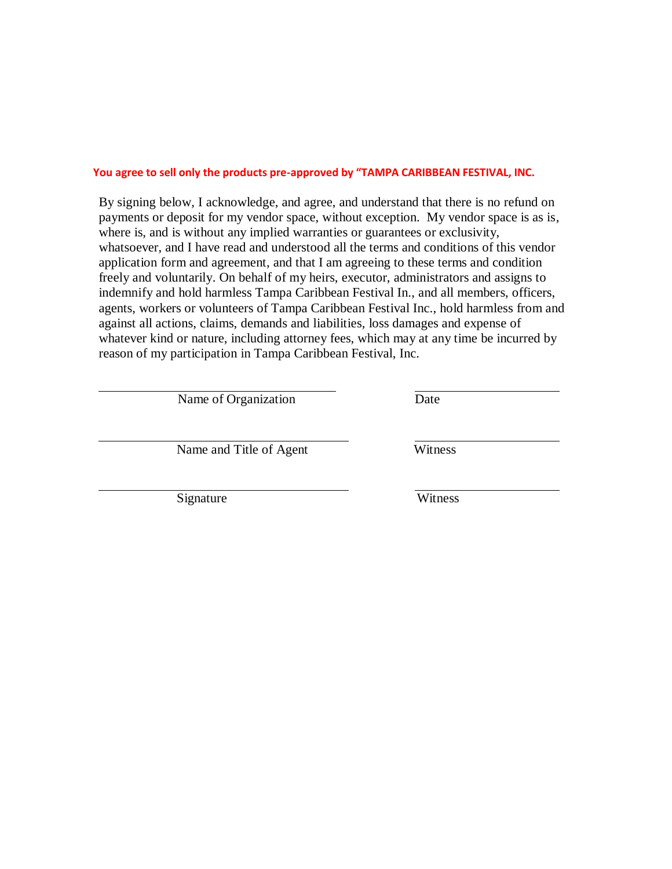#### **You agree to sell only the products pre-approved by "TAMPA CARIBBEAN FESTIVAL, INC.**

By signing below, I acknowledge, and agree, and understand that there is no refund on payments or deposit for my vendor space, without exception. My vendor space is as is, where is, and is without any implied warranties or guarantees or exclusivity, whatsoever, and I have read and understood all the terms and conditions of this vendor application form and agreement, and that I am agreeing to these terms and condition freely and voluntarily. On behalf of my heirs, executor, administrators and assigns to indemnify and hold harmless Tampa Caribbean Festival In., and all members, officers, agents, workers or volunteers of Tampa Caribbean Festival Inc., hold harmless from and against all actions, claims, demands and liabilities, loss damages and expense of whatever kind or nature, including attorney fees, which may at any time be incurred by reason of my participation in Tampa Caribbean Festival, Inc.

Name of Organization Date

Name and Title of Agent Witness

Signature Witness